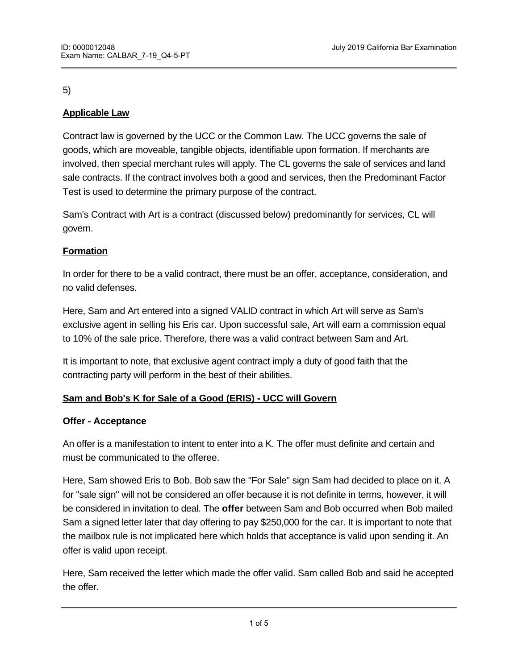#### 5)

# **Applicable Law**

Contract law is governed by the UCC or the Common Law. The UCC governs the sale of goods, which are moveable, tangible objects, identifiable upon formation. If merchants are involved, then special merchant rules will apply. The CL governs the sale of services and land sale contracts. If the contract involves both a good and services, then the Predominant Factor Test is used to determine the primary purpose of the contract.

Sam's Contract with Art is a contract (discussed below) predominantly for services, CL will govern.

## **Formation**

In order for there to be a valid contract, there must be an offer, acceptance, consideration, and no valid defenses.

Here, Sam and Art entered into a signed VALID contract in which Art will serve as Sam's exclusive agent in selling his Eris car. Upon successful sale, Art will earn a commission equal to 10% of the sale price. Therefore, there was a valid contract between Sam and Art.

It is important to note, that exclusive agent contract imply a duty of good faith that the contracting party will perform in the best of their abilities.

## **Sam and Bob's K for Sale of a Good (ERIS) - UCC will Govern**

#### **Offer - Acceptance**

An offer is a manifestation to intent to enter into a K. The offer must definite and certain and must be communicated to the offeree.

Here, Sam showed Eris to Bob. Bob saw the "For Sale" sign Sam had decided to place on it. A for "sale sign" will not be considered an offer because it is not definite in terms, however, it will be considered in invitation to deal. The **offer** between Sam and Bob occurred when Bob mailed Sam a signed letter later that day offering to pay \$250,000 for the car. It is important to note that the mailbox rule is not implicated here which holds that acceptance is valid upon sending it. An offer is valid upon receipt.

Here, Sam received the letter which made the offer valid. Sam called Bob and said he accepted the offer.

 $\overline{\phantom{a}}$  as of now, there is no valid contract between Sam and Bob because  $\overline{\phantom{a}}$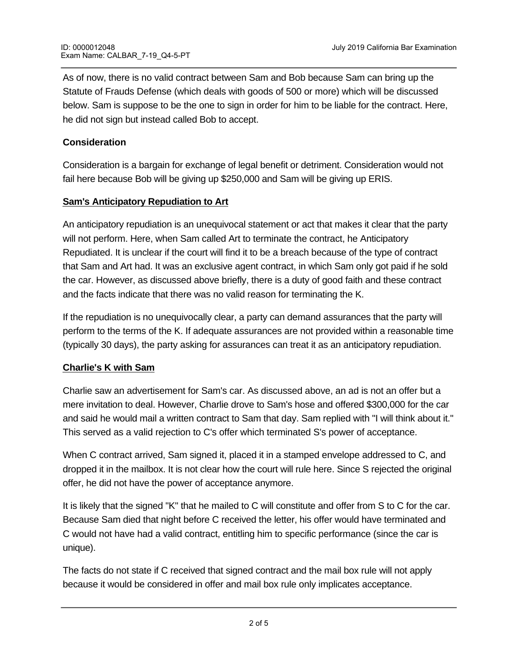As of now, there is no valid contract between Sam and Bob because Sam can bring up the Statute of Frauds Defense (which deals with goods of 500 or more) which will be discussed below. Sam is suppose to be the one to sign in order for him to be liable for the contract. Here, he did not sign but instead called Bob to accept.

### **Consideration**

Consideration is a bargain for exchange of legal benefit or detriment. Consideration would not fail here because Bob will be giving up \$250,000 and Sam will be giving up ERIS.

### **Sam's Anticipatory Repudiation to Art**

An anticipatory repudiation is an unequivocal statement or act that makes it clear that the party will not perform. Here, when Sam called Art to terminate the contract, he Anticipatory Repudiated. It is unclear if the court will find it to be a breach because of the type of contract that Sam and Art had. It was an exclusive agent contract, in which Sam only got paid if he sold the car. However, as discussed above briefly, there is a duty of good faith and these contract and the facts indicate that there was no valid reason for terminating the K.

If the repudiation is no unequivocally clear, a party can demand assurances that the party will perform to the terms of the K. If adequate assurances are not provided within a reasonable time (typically 30 days), the party asking for assurances can treat it as an anticipatory repudiation.

## **Charlie's K with Sam**

Charlie saw an advertisement for Sam's car. As discussed above, an ad is not an offer but a mere invitation to deal. However, Charlie drove to Sam's hose and offered \$300,000 for the car and said he would mail a written contract to Sam that day. Sam replied with "I will think about it." This served as a valid rejection to C's offer which terminated S's power of acceptance.

When C contract arrived, Sam signed it, placed it in a stamped envelope addressed to C, and dropped it in the mailbox. It is not clear how the court will rule here. Since S rejected the original offer, he did not have the power of acceptance anymore.

It is likely that the signed "K" that he mailed to C will constitute and offer from S to C for the car. Because Sam died that night before C received the letter, his offer would have terminated and C would not have had a valid contract, entitling him to specific performance (since the car is unique).

The facts do not state if C received that signed contract and the mail box rule will not apply because it would be considered in offer and mail box rule only implicates acceptance.

If however, the court will hold that it was a valid acceptance, then the mail box rule would apply  $\alpha$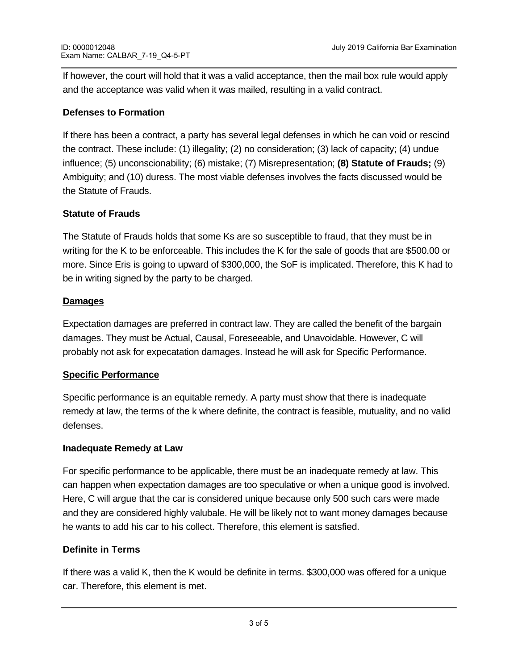If however, the court will hold that it was a valid acceptance, then the mail box rule would apply and the acceptance was valid when it was mailed, resulting in a valid contract.

### **Defenses to Formation**

If there has been a contract, a party has several legal defenses in which he can void or rescind the contract. These include: (1) illegality; (2) no consideration; (3) lack of capacity; (4) undue influence; (5) unconscionability; (6) mistake; (7) Misrepresentation; **(8) Statute of Frauds;** (9) Ambiguity; and (10) duress. The most viable defenses involves the facts discussed would be the Statute of Frauds.

## **Statute of Frauds**

The Statute of Frauds holds that some Ks are so susceptible to fraud, that they must be in writing for the K to be enforceable. This includes the K for the sale of goods that are \$500.00 or more. Since Eris is going to upward of \$300,000, the SoF is implicated. Therefore, this K had to be in writing signed by the party to be charged.

### **Damages**

Expectation damages are preferred in contract law. They are called the benefit of the bargain damages. They must be Actual, Causal, Foreseeable, and Unavoidable. However, C will probably not ask for expecatation damages. Instead he will ask for Specific Performance.

## **Specific Performance**

Specific performance is an equitable remedy. A party must show that there is inadequate remedy at law, the terms of the k where definite, the contract is feasible, mutuality, and no valid defenses.

#### **Inadequate Remedy at Law**

For specific performance to be applicable, there must be an inadequate remedy at law. This can happen when expectation damages are too speculative or when a unique good is involved. Here, C will argue that the car is considered unique because only 500 such cars were made and they are considered highly valubale. He will be likely not to want money damages because he wants to add his car to his collect. Therefore, this element is satsfied.

## **Definite in Terms**

**Feasibility** 

If there was a valid K, then the K would be definite in terms. \$300,000 was offered for a unique car. Therefore, this element is met.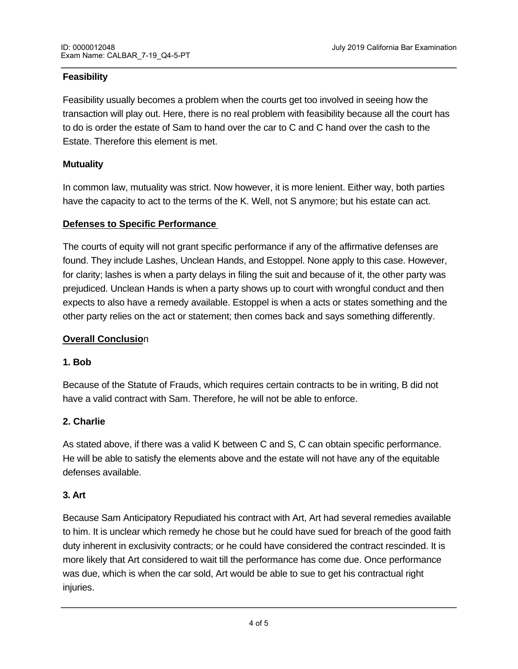## **Feasibility**

Feasibility usually becomes a problem when the courts get too involved in seeing how the transaction will play out. Here, there is no real problem with feasibility because all the court has to do is order the estate of Sam to hand over the car to C and C hand over the cash to the Estate. Therefore this element is met.

### **Mutuality**

In common law, mutuality was strict. Now however, it is more lenient. Either way, both parties have the capacity to act to the terms of the K. Well, not S anymore; but his estate can act.

#### **Defenses to Specific Performance**

The courts of equity will not grant specific performance if any of the affirmative defenses are found. They include Lashes, Unclean Hands, and Estoppel. None apply to this case. However, for clarity; lashes is when a party delays in filing the suit and because of it, the other party was prejudiced. Unclean Hands is when a party shows up to court with wrongful conduct and then expects to also have a remedy available. Estoppel is when a acts or states something and the other party relies on the act or statement; then comes back and says something differently.

#### **Overall Conclusio**n

#### **1. Bob**

Because of the Statute of Frauds, which requires certain contracts to be in writing, B did not have a valid contract with Sam. Therefore, he will not be able to enforce.

#### **2. Charlie**

As stated above, if there was a valid K between C and S, C can obtain specific performance. He will be able to satisfy the elements above and the estate will not have any of the equitable defenses available.

#### **3. Art**

Because Sam Anticipatory Repudiated his contract with Art, Art had several remedies available to him. It is unclear which remedy he chose but he could have sued for breach of the good faith duty inherent in exclusivity contracts; or he could have considered the contract rescinded. It is more likely that Art considered to wait till the performance has come due. Once performance was due, which is when the car sold, Art would be able to sue to get his contractual right injuries.